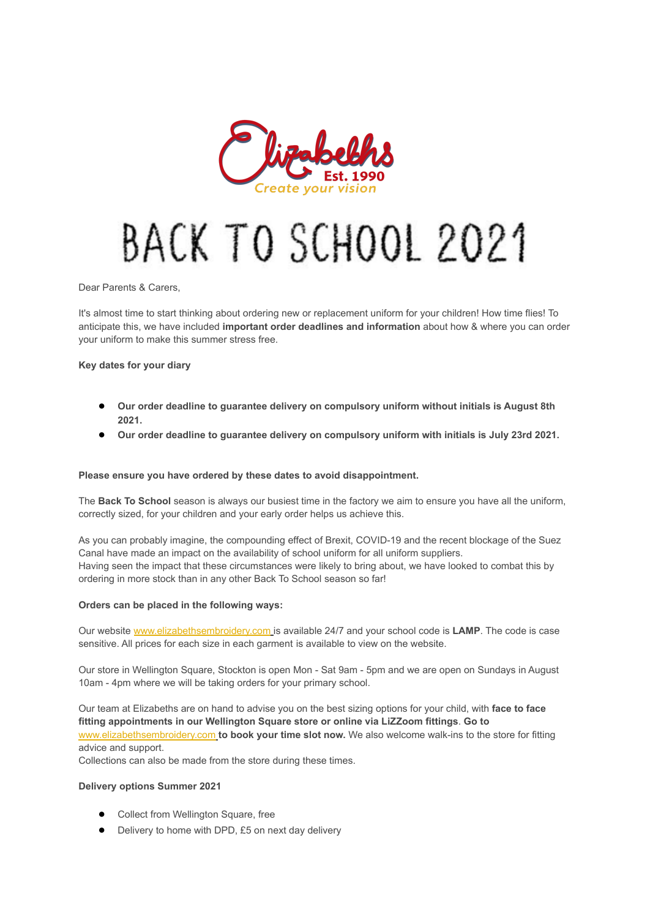

## BACK TO SCHOOL 2021

Dear Parents & Carers,

It's almost time to start thinking about ordering new or replacement uniform for your children! How time flies! To anticipate this, we have included **important order deadlines and information** about how & where you can order your uniform to make this summer stress free.

**Key dates for your diary**

- **Our order deadline to guarantee delivery on compulsory uniform without initials is August 8th 2021.**
- **Our order deadline to guarantee delivery on compulsory uniform with initials is July 23rd 2021.**

## **Please ensure you have ordered by these dates to avoid disappointment.**

The **Back To School** season is always our busiest time in the factory we aim to ensure you have all the uniform, correctly sized, for your children and your early order helps us achieve this.

As you can probably imagine, the compounding effect of Brexit, COVID-19 and the recent blockage of the Suez Canal have made an impact on the availability of school uniform for all uniform suppliers. Having seen the impact that these circumstances were likely to bring about, we have looked to combat this by ordering in more stock than in any other Back To School season so far!

## **Orders can be placed in the following ways:**

Our website [www.elizabethsembroidery.com](http://www.elizabethsembroidery.com/) is available 24/7 and your school code is **LAMP**. The code is case sensitive. All prices for each size in each garment is available to view on the website.

Our store in Wellington Square, Stockton is open Mon - Sat 9am - 5pm and we are open on Sundays in August 10am - 4pm where we will be taking orders for your primary school.

Our team at Elizabeths are on hand to advise you on the best sizing options for your child, with **face to face fitting appointments in our Wellington Square store or online via LiZZoom fittings**. **Go to** [www.elizabethsembroidery.com](http://www.elizabethsembroidery.com/) **to book your time slot now.** We also welcome walk-ins to the store for fitting advice and support.

Collections can also be made from the store during these times.

## **Delivery options Summer 2021**

- Collect from Wellington Square, free
- Delivery to home with DPD, £5 on next day delivery